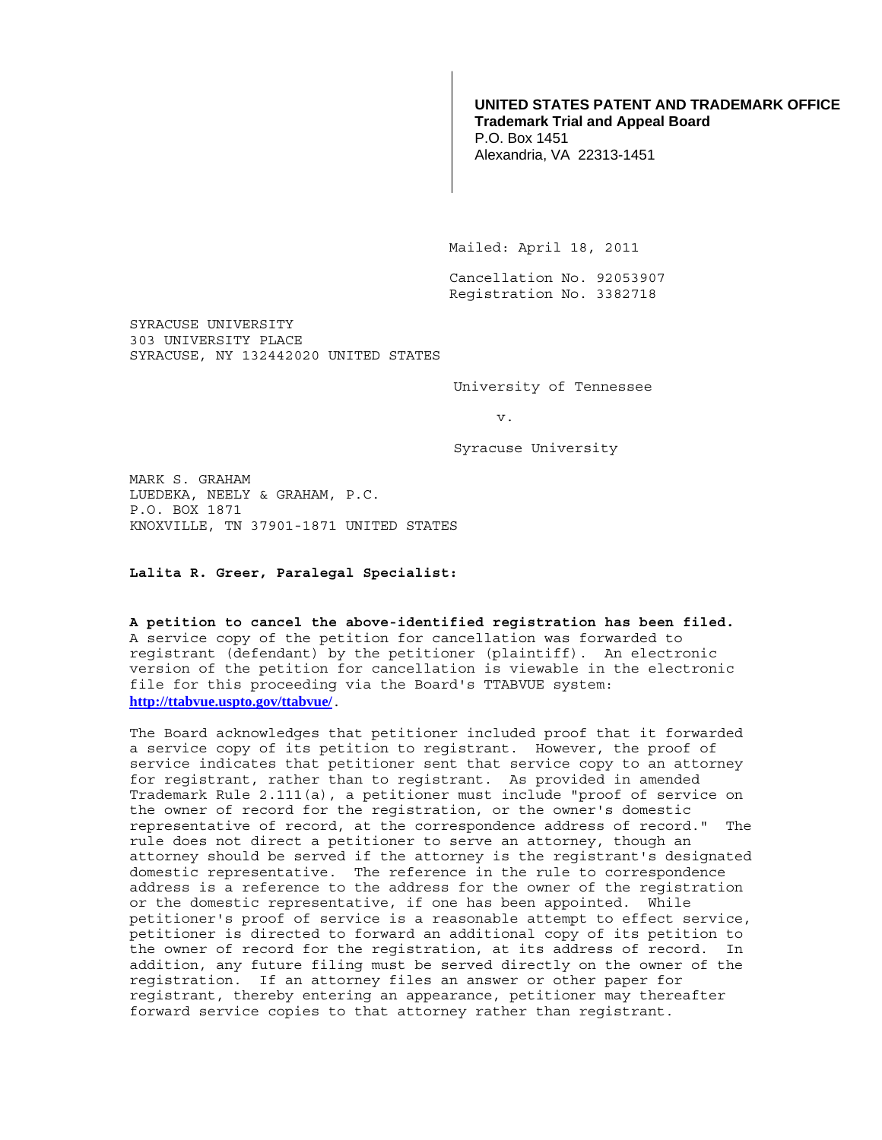## **UNITED STATES PATENT AND TRADEMARK OFFICE Trademark Trial and Appeal Board**

P.O. Box 1451 Alexandria, VA 22313-1451

Mailed: April 18, 2011

 Cancellation No. 92053907 Registration No. 3382718

SYRACUSE UNIVERSITY 303 UNIVERSITY PLACE SYRACUSE, NY 132442020 UNITED STATES

University of Tennessee

v.

Syracuse University

MARK S. GRAHAM LUEDEKA, NEELY & GRAHAM, P.C. P.O. BOX 1871 KNOXVILLE, TN 37901-1871 UNITED STATES

**Lalita R. Greer, Paralegal Specialist:** 

## **A petition to cancel the above-identified registration has been filed.**  A service copy of the petition for cancellation was forwarded to registrant (defendant) by the petitioner (plaintiff). An electronic

version of the petition for cancellation is viewable in the electronic file for this proceeding via the Board's TTABVUE system: **http://ttabvue.uspto.gov/ttabvue/**.

The Board acknowledges that petitioner included proof that it forwarded a service copy of its petition to registrant. However, the proof of service indicates that petitioner sent that service copy to an attorney for registrant, rather than to registrant. As provided in amended Trademark Rule 2.111(a), a petitioner must include "proof of service on the owner of record for the registration, or the owner's domestic representative of record, at the correspondence address of record." The rule does not direct a petitioner to serve an attorney, though an attorney should be served if the attorney is the registrant's designated domestic representative. The reference in the rule to correspondence address is a reference to the address for the owner of the registration or the domestic representative, if one has been appointed. While petitioner's proof of service is a reasonable attempt to effect service, petitioner is directed to forward an additional copy of its petition to the owner of record for the registration, at its address of record. In addition, any future filing must be served directly on the owner of the registration. If an attorney files an answer or other paper for registrant, thereby entering an appearance, petitioner may thereafter forward service copies to that attorney rather than registrant.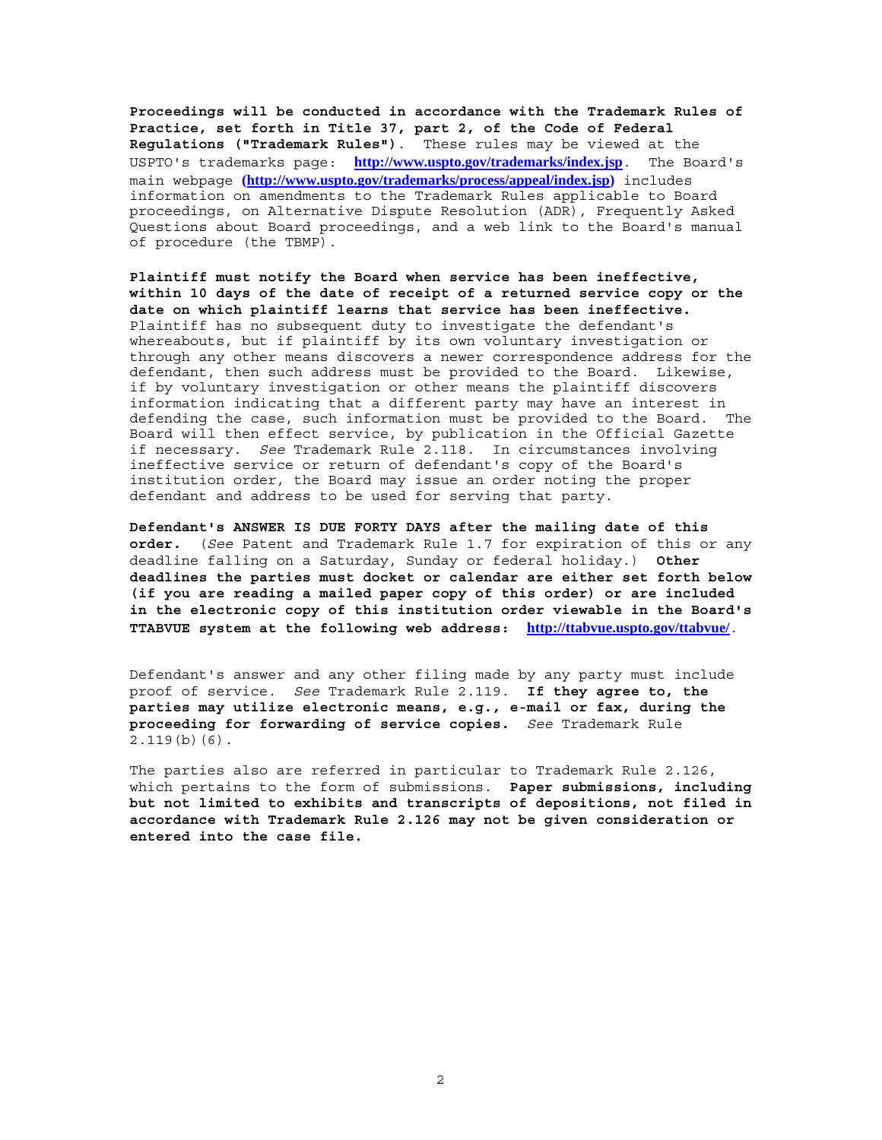**Proceedings will be conducted in accordance with the Trademark Rules of Practice, set forth in Title 37, part 2, of the Code of Federal Regulations ("Trademark Rules")**. These rules may be viewed at the USPTO's trademarks page: **http://www.uspto.gov/trademarks/index.jsp**. The Board's main webpage **(http://www.uspto.gov/trademarks/process/appeal/index.jsp)** includes information on amendments to the Trademark Rules applicable to Board proceedings, on Alternative Dispute Resolution (ADR), Frequently Asked Questions about Board proceedings, and a web link to the Board's manual of procedure (the TBMP).

**Plaintiff must notify the Board when service has been ineffective, within 10 days of the date of receipt of a returned service copy or the date on which plaintiff learns that service has been ineffective.** Plaintiff has no subsequent duty to investigate the defendant's whereabouts, but if plaintiff by its own voluntary investigation or through any other means discovers a newer correspondence address for the defendant, then such address must be provided to the Board. Likewise, if by voluntary investigation or other means the plaintiff discovers information indicating that a different party may have an interest in defending the case, such information must be provided to the Board. The Board will then effect service, by publication in the Official Gazette if necessary. *See* Trademark Rule 2.118. In circumstances involving ineffective service or return of defendant's copy of the Board's institution order, the Board may issue an order noting the proper defendant and address to be used for serving that party.

**Defendant's ANSWER IS DUE FORTY DAYS after the mailing date of this order.** (*See* Patent and Trademark Rule 1.7 for expiration of this or any deadline falling on a Saturday, Sunday or federal holiday.) **Other deadlines the parties must docket or calendar are either set forth below (if you are reading a mailed paper copy of this order) or are included in the electronic copy of this institution order viewable in the Board's TTABVUE system at the following web address: http://ttabvue.uspto.gov/ttabvue/**.

Defendant's answer and any other filing made by any party must include proof of service. *See* Trademark Rule 2.119. **If they agree to, the parties may utilize electronic means, e.g., e-mail or fax, during the proceeding for forwarding of service copies.** *See* Trademark Rule 2.119(b)(6).

The parties also are referred in particular to Trademark Rule 2.126, which pertains to the form of submissions. **Paper submissions, including but not limited to exhibits and transcripts of depositions, not filed in accordance with Trademark Rule 2.126 may not be given consideration or entered into the case file.**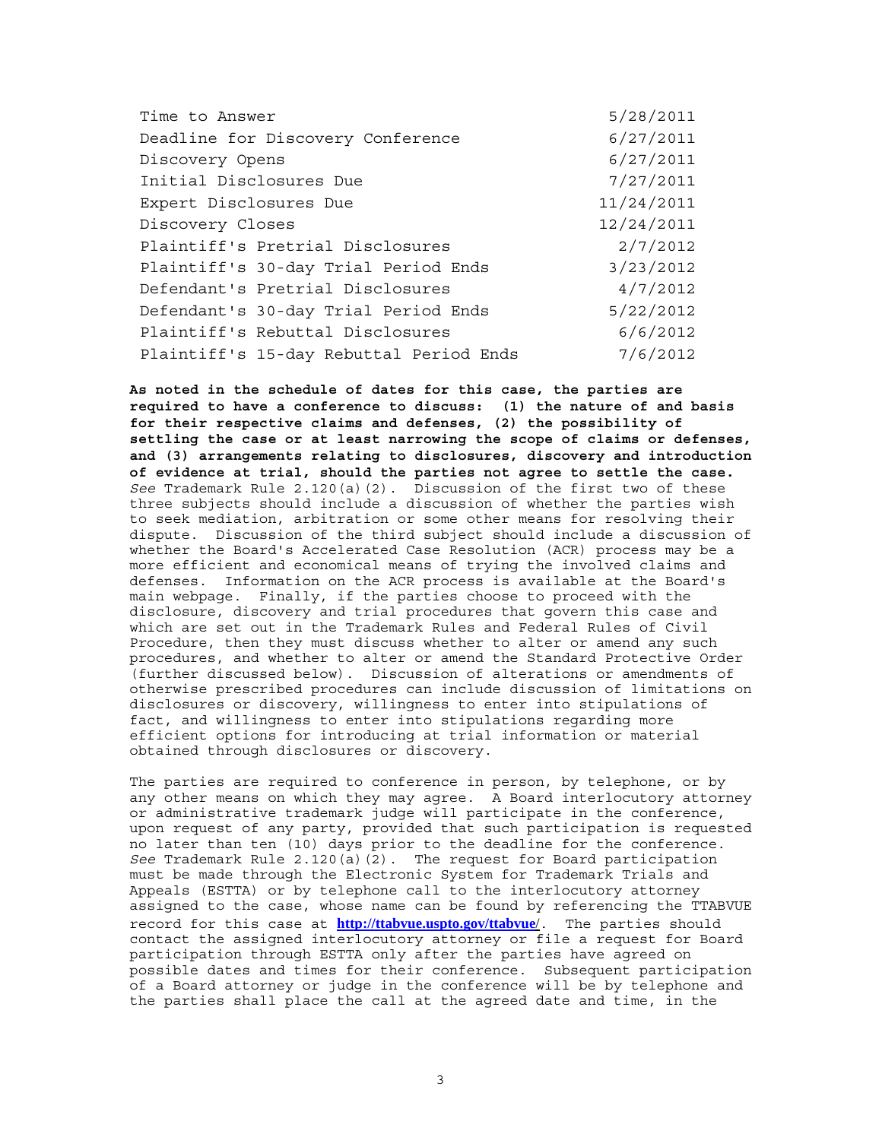| Time to Answer                          | 5/28/2011  |
|-----------------------------------------|------------|
| Deadline for Discovery Conference       | 6/27/2011  |
| Discovery Opens                         | 6/27/2011  |
| Initial Disclosures Due                 | 7/27/2011  |
| Expert Disclosures Due                  | 11/24/2011 |
| Discovery Closes                        | 12/24/2011 |
| Plaintiff's Pretrial Disclosures        | 2/7/2012   |
| Plaintiff's 30-day Trial Period Ends    | 3/23/2012  |
| Defendant's Pretrial Disclosures        | 4/7/2012   |
| Defendant's 30-day Trial Period Ends    | 5/22/2012  |
| Plaintiff's Rebuttal Disclosures        | 6/6/2012   |
| Plaintiff's 15-day Rebuttal Period Ends | 7/6/2012   |

**As noted in the schedule of dates for this case, the parties are required to have a conference to discuss: (1) the nature of and basis for their respective claims and defenses, (2) the possibility of settling the case or at least narrowing the scope of claims or defenses, and (3) arrangements relating to disclosures, discovery and introduction of evidence at trial, should the parties not agree to settle the case.** *See* Trademark Rule 2.120(a)(2). Discussion of the first two of these three subjects should include a discussion of whether the parties wish to seek mediation, arbitration or some other means for resolving their dispute. Discussion of the third subject should include a discussion of whether the Board's Accelerated Case Resolution (ACR) process may be a more efficient and economical means of trying the involved claims and defenses. Information on the ACR process is available at the Board's main webpage. Finally, if the parties choose to proceed with the disclosure, discovery and trial procedures that govern this case and which are set out in the Trademark Rules and Federal Rules of Civil Procedure, then they must discuss whether to alter or amend any such procedures, and whether to alter or amend the Standard Protective Order (further discussed below). Discussion of alterations or amendments of otherwise prescribed procedures can include discussion of limitations on disclosures or discovery, willingness to enter into stipulations of fact, and willingness to enter into stipulations regarding more efficient options for introducing at trial information or material obtained through disclosures or discovery.

The parties are required to conference in person, by telephone, or by any other means on which they may agree. A Board interlocutory attorney or administrative trademark judge will participate in the conference, upon request of any party, provided that such participation is requested no later than ten (10) days prior to the deadline for the conference. *See* Trademark Rule 2.120(a)(2). The request for Board participation must be made through the Electronic System for Trademark Trials and Appeals (ESTTA) or by telephone call to the interlocutory attorney assigned to the case, whose name can be found by referencing the TTABVUE record for this case at **http://ttabvue.uspto.gov/ttabvue**/. The parties should contact the assigned interlocutory attorney or file a request for Board participation through ESTTA only after the parties have agreed on possible dates and times for their conference. Subsequent participation of a Board attorney or judge in the conference will be by telephone and the parties shall place the call at the agreed date and time, in the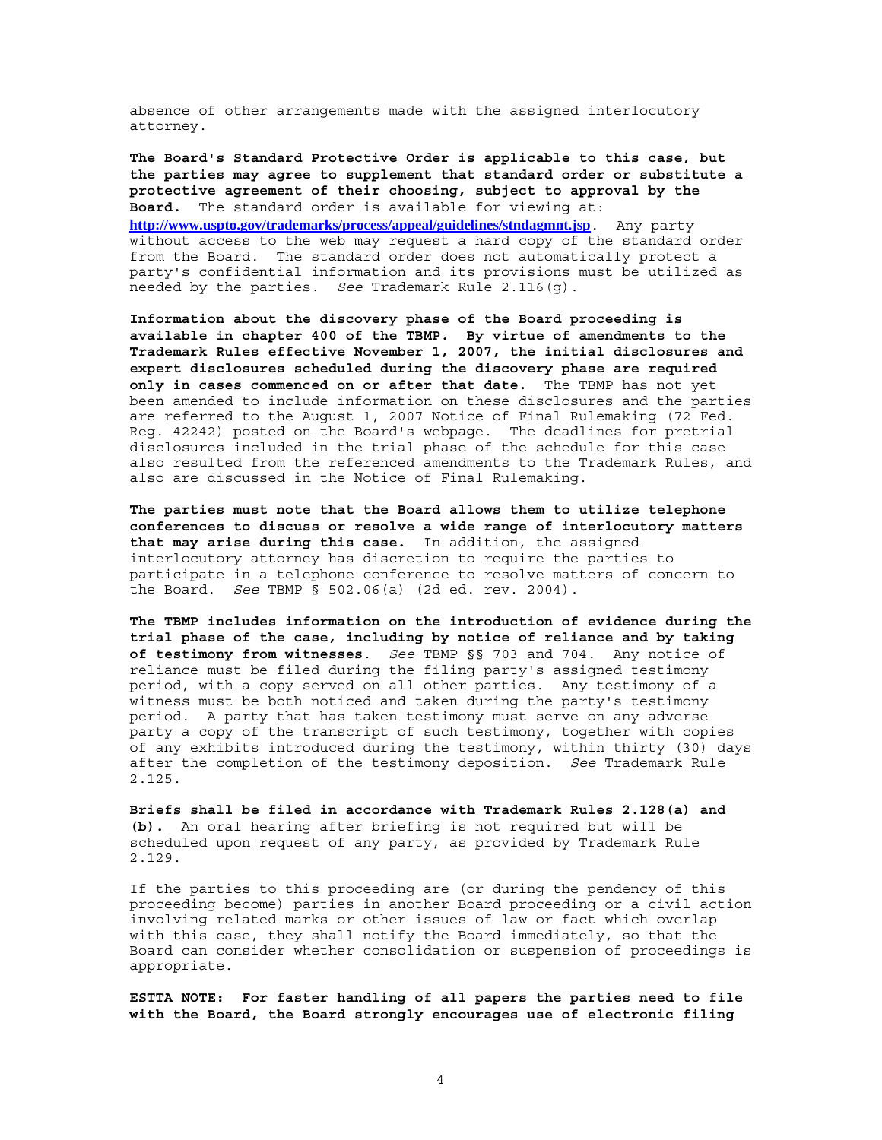absence of other arrangements made with the assigned interlocutory attorney.

**The Board's Standard Protective Order is applicable to this case, but the parties may agree to supplement that standard order or substitute a protective agreement of their choosing, subject to approval by the Board.** The standard order is available for viewing at: **http://www.uspto.gov/trademarks/process/appeal/guidelines/stndagmnt.jsp**. Any party without access to the web may request a hard copy of the standard order from the Board. The standard order does not automatically protect a party's confidential information and its provisions must be utilized as needed by the parties. *See* Trademark Rule 2.116(g).

**Information about the discovery phase of the Board proceeding is available in chapter 400 of the TBMP. By virtue of amendments to the Trademark Rules effective November 1, 2007, the initial disclosures and expert disclosures scheduled during the discovery phase are required only in cases commenced on or after that date.** The TBMP has not yet been amended to include information on these disclosures and the parties are referred to the August 1, 2007 Notice of Final Rulemaking (72 Fed. Reg. 42242) posted on the Board's webpage. The deadlines for pretrial disclosures included in the trial phase of the schedule for this case also resulted from the referenced amendments to the Trademark Rules, and also are discussed in the Notice of Final Rulemaking.

**The parties must note that the Board allows them to utilize telephone conferences to discuss or resolve a wide range of interlocutory matters that may arise during this case.** In addition, the assigned interlocutory attorney has discretion to require the parties to participate in a telephone conference to resolve matters of concern to the Board. *See* TBMP § 502.06(a) (2d ed. rev. 2004).

**The TBMP includes information on the introduction of evidence during the trial phase of the case, including by notice of reliance and by taking of testimony from witnesses**. *See* TBMP §§ 703 and 704. Any notice of reliance must be filed during the filing party's assigned testimony period, with a copy served on all other parties. Any testimony of a witness must be both noticed and taken during the party's testimony period. A party that has taken testimony must serve on any adverse party a copy of the transcript of such testimony, together with copies of any exhibits introduced during the testimony, within thirty (30) days after the completion of the testimony deposition. *See* Trademark Rule 2.125.

**Briefs shall be filed in accordance with Trademark Rules 2.128(a) and (b).** An oral hearing after briefing is not required but will be scheduled upon request of any party, as provided by Trademark Rule 2.129.

If the parties to this proceeding are (or during the pendency of this proceeding become) parties in another Board proceeding or a civil action involving related marks or other issues of law or fact which overlap with this case, they shall notify the Board immediately, so that the Board can consider whether consolidation or suspension of proceedings is appropriate.

**ESTTA NOTE: For faster handling of all papers the parties need to file with the Board, the Board strongly encourages use of electronic filing**